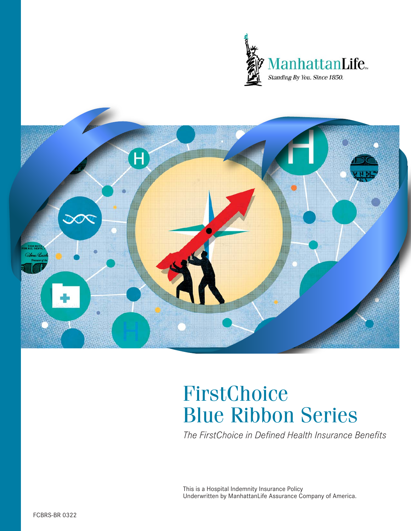



# FirstChoice Blue Ribbon Series

*The FirstChoice in Defined Health Insurance Benefits*

This is a Hospital Indemnity Insurance Policy Underwritten by ManhattanLife Assurance Company of America.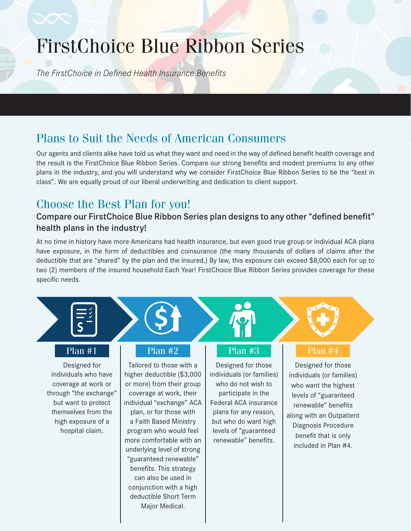# FirstChoice Blue Ribbon Series

*The FirstChoice in Defined Health Insurance Benefits*

## Plans to Suit the Needs of American Consumers

Our agents and clients alike have told us what they want and need in the way of defined benefit health coverage and the result is the FirstChoice Blue Ribbon Series. Compare our strong benefits and modest premiums to any other plans in the industry, and you will understand why we consider FirstChoice Blue Ribbon Series to be the "best in class". We are equally proud of our liberal underwriting and dedication to client support.

## Choose the Best Plan for you!

### Compare our FirstChoice Blue Ribbon Series plan designs to any other "defined benefit" health plans in the industry!

At no time in history have more Americans had health insurance, but even good true group or individual ACA plans have exposure, in the form of deductibles and coinsurance (the many thousands of dollars of claims after the deductible that are "shared" by the plan and the insured.) By law, this exposure can exceed \$8,000 each for up to two (2) members of the insured household Each Year! FirstChoice Blue Ribbon Series provides coverage for these specific needs.



### Plan #1

Designed for individuals who have coverage at work or through "the exchange" but want to protect themselves from the high exposure of a hospital claim.

### Plan #2

Tailored to those with a higher deductible (\$3,000 or more) from their group coverage at work, their individual "exchange" ACA plan, or for those with a Faith Based Ministry program who would feel more comfortable with an underlying level of strong "guaranteed renewable" benefits. This strategy can also be used in conjunction with a high deductible Short Term Major Medical.

### Plan #3

Designed for those individuals (or families) who do not wish to participate in the Federal ACA insurance plans for any reason, but who do want high levels of "guaranteed renewable" benefits.

### Plan #4

Designed for those individuals (or families) who want the highest levels of "guaranteed renewable" benefits along with an Outpatient Diagnosis Procedure benefit that is only included in Plan #4.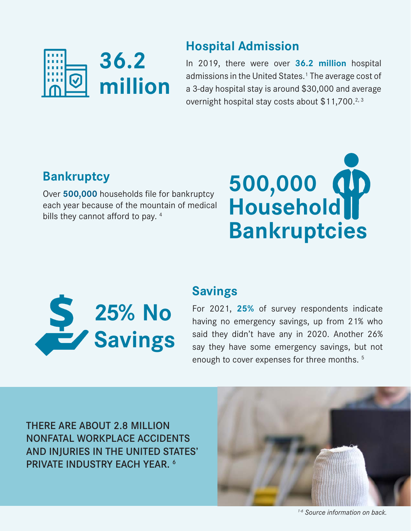

## **Hospital Admission**

In 2019, there were over **36.2 million** hospital admissions in the United States.<sup>1</sup> The average cost of a 3-day hospital stay is around \$30,000 and average overnight hospital stay costs about  $$11,700.<sup>2,3</sup>$ 

## **Bankruptcy**

Over **500,000** households file for bankruptcy each year because of the mountain of medical bills they cannot afford to pay.  $4$ 





## **Savings**

For 2021, **25%** of survey respondents indicate having no emergency savings, up from 21% who said they didn't have any in 2020. Another 26% say they have some emergency savings, but not enough to cover expenses for three months.<sup>5</sup>

THERE ARE ABOUT 2.8 MILLION NONFATAL WORKPLACE ACCIDENTS AND INJURIES IN THE UNITED STATES' PRIVATE INDUSTRY EACH YEAR. 6



*1-6 Source information on back.*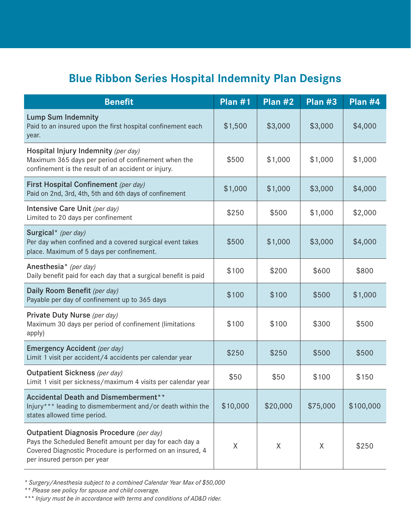## **Blue Ribbon Series Hospital Indemnity Plan Designs**

| <b>Benefit</b>                                                                                                                                                                                    | Plan $#1$ | Plan #2  | Plan #3  | Plan #4   |
|---------------------------------------------------------------------------------------------------------------------------------------------------------------------------------------------------|-----------|----------|----------|-----------|
| <b>Lump Sum Indemnity</b><br>Paid to an insured upon the first hospital confinement each<br>year.                                                                                                 | \$1,500   | \$3,000  | \$3,000  | \$4,000   |
| Hospital Injury Indemnity (per day)<br>Maximum 365 days per period of confinement when the<br>confinement is the result of an accident or injury.                                                 | \$500     | \$1,000  | \$1,000  | \$1,000   |
| First Hospital Confinement (per day)<br>Paid on 2nd, 3rd, 4th, 5th and 6th days of confinement                                                                                                    | \$1,000   | \$1,000  | \$3,000  | \$4,000   |
| Intensive Care Unit (per day)<br>Limited to 20 days per confinement                                                                                                                               | \$250     | \$500    | \$1,000  | \$2,000   |
| Surgical* (per day)<br>Per day when confined and a covered surgical event takes<br>place. Maximum of 5 days per confinement.                                                                      | \$500     | \$1,000  | \$3,000  | \$4,000   |
| Anesthesia* (per day)<br>Daily benefit paid for each day that a surgical benefit is paid                                                                                                          | \$100     | \$200    | \$600    | \$800     |
| Daily Room Benefit (per day)<br>Payable per day of confinement up to 365 days                                                                                                                     | \$100     | \$100    | \$500    | \$1,000   |
| Private Duty Nurse (per day)<br>Maximum 30 days per period of confinement (limitations<br>apply)                                                                                                  | \$100     | \$100    | \$300    | \$500     |
| Emergency Accident (per day)<br>Limit 1 visit per accident/4 accidents per calendar year                                                                                                          | \$250     | \$250    | \$500    | \$500     |
| Outpatient Sickness (per day)<br>Limit 1 visit per sickness/maximum 4 visits per calendar year                                                                                                    | \$50      | \$50     | \$100    | \$150     |
| Accidental Death and Dismemberment**<br>Injury*** leading to dismemberment and/or death within the<br>states allowed time period.                                                                 | \$10,000  | \$20,000 | \$75,000 | \$100,000 |
| Outpatient Diagnosis Procedure (per day)<br>Pays the Scheduled Benefit amount per day for each day a<br>Covered Diagnostic Procedure is performed on an insured, 4<br>per insured person per year | X         | Χ        | X        | \$250     |

*\* Surgery/Anesthesia subject to a combined Calendar Year Max of \$50,000* 

*\*\* Please see policy for spouse and child coverage.*

*\*\*\* Injury must be in accordance with terms and conditions of AD&D rider.*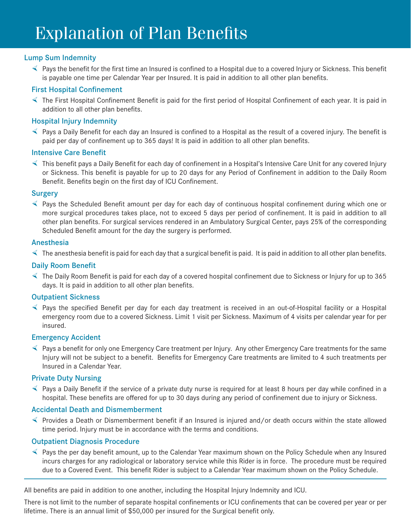### Lump Sum Indemnity

 $\triangleleft$  Pays the benefit for the first time an Insured is confined to a Hospital due to a covered Injury or Sickness. This benefit is payable one time per Calendar Year per Insured. It is paid in addition to all other plan benefits.

### First Hospital Confinement

 $\leq$  The First Hospital Confinement Benefit is paid for the first period of Hospital Confinement of each year. It is paid in addition to all other plan benefits.

### Hospital Injury Indemnity

 $\leq$  Pays a Daily Benefit for each day an Insured is confined to a Hospital as the result of a covered injury. The benefit is paid per day of confinement up to 365 days! It is paid in addition to all other plan benefits.

### Intensive Care Benefit

 $\leq$  This benefit pays a Daily Benefit for each day of confinement in a Hospital's Intensive Care Unit for any covered Injury or Sickness. This benefit is payable for up to 20 days for any Period of Confinement in addition to the Daily Room Benefit. Benefits begin on the first day of ICU Confinement.

### **Surgery**

 $\leq$  Pays the Scheduled Benefit amount per day for each day of continuous hospital confinement during which one or more surgical procedures takes place, not to exceed 5 days per period of confinement. It is paid in addition to all other plan benefits. For surgical services rendered in an Ambulatory Surgical Center, pays 25% of the corresponding Scheduled Benefit amount for the day the surgery is performed.

### Anesthesia

 $\triangleleft$  The anesthesia benefit is paid for each day that a surgical benefit is paid. It is paid in addition to all other plan benefits.

### Daily Room Benefit

 $\leq$  The Daily Room Benefit is paid for each day of a covered hospital confinement due to Sickness or Injury for up to 365 days. It is paid in addition to all other plan benefits.

### Outpatient Sickness

 $\leq$  Pays the specified Benefit per day for each day treatment is received in an out-of-Hospital facility or a Hospital emergency room due to a covered Sickness. Limit 1 visit per Sickness. Maximum of 4 visits per calendar year for per insured.

### Emergency Accident

 $\leq$  Pays a benefit for only one Emergency Care treatment per Injury. Any other Emergency Care treatments for the same Injury will not be subject to a benefit. Benefits for Emergency Care treatments are limited to 4 such treatments per Insured in a Calendar Year.

### Private Duty Nursing

 $\leq$  Pays a Daily Benefit if the service of a private duty nurse is required for at least 8 hours per day while confined in a hospital. These benefits are offered for up to 30 days during any period of confinement due to injury or Sickness.

### Accidental Death and Dismemberment

½ Provides a Death or Dismemberment benefit if an Insured is injured and/or death occurs within the state allowed time period. Injury must be in accordance with the terms and conditions.

### Outpatient Diagnosis Procedure

 $\leq$  Pays the per day benefit amount, up to the Calendar Year maximum shown on the Policy Schedule when any Insured incurs charges for any radiological or laboratory service while this Rider is in force. The procedure must be required due to a Covered Event. This benefit Rider is subject to a Calendar Year maximum shown on the Policy Schedule.

All benefits are paid in addition to one another, including the Hospital Injury Indemnity and ICU.

There is not limit to the number of separate hospital confinements or ICU confinements that can be covered per year or per lifetime. There is an annual limit of \$50,000 per insured for the Surgical benefit only.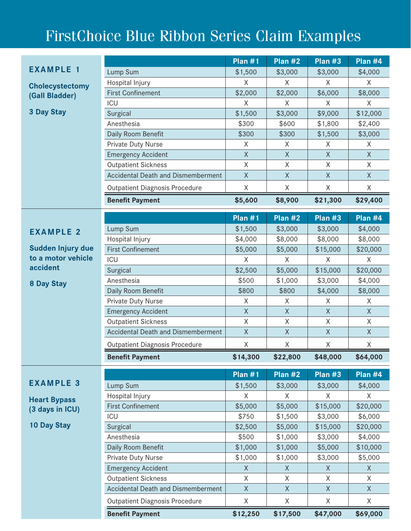# FirstChoice Blue Ribbon Series Claim Examples

|                                        |                                           | Plan $#1$    | Plan #2     | Plan #3     | Plan $#4$    |
|----------------------------------------|-------------------------------------------|--------------|-------------|-------------|--------------|
| <b>EXAMPLE 1</b>                       | Lump Sum                                  | \$1,500      | \$3,000     | \$3,000     | \$4,000      |
|                                        | Hospital Injury                           | X            | X           | X           | X            |
| <b>Cholecystectomy</b>                 | <b>First Confinement</b>                  | \$2,000      | \$2,000     | \$6,000     | \$8,000      |
| (Gall Bladder)                         | ICU                                       | X            | X           | X           | X            |
| <b>3 Day Stay</b>                      | Surgical                                  | \$1,500      | \$3,000     | \$9,000     | \$12,000     |
|                                        | Anesthesia                                | \$300        | \$600       | \$1,800     | \$2,400      |
|                                        | Daily Room Benefit                        | \$300        | \$300       | \$1,500     | \$3,000      |
|                                        | Private Duty Nurse                        | $\times$     | X           | X           | X            |
|                                        | <b>Emergency Accident</b>                 | $\mathsf X$  | X           | $\mathsf X$ | $\mathsf X$  |
|                                        | <b>Outpatient Sickness</b>                | $\sf X$      | Χ           | X           | Χ            |
|                                        | <b>Accidental Death and Dismemberment</b> | $\sf X$      | $\sf X$     | $\sf X$     | $\sf X$      |
|                                        | <b>Outpatient Diagnosis Procedure</b>     | X            | X           | X           | X            |
|                                        | <b>Benefit Payment</b>                    | \$5,600      | \$8,900     | \$21,300    | \$29,400     |
|                                        |                                           | Plan $#1$    | Plan #2     | Plan #3     | Plan #4      |
| <b>EXAMPLE 2</b>                       | Lump Sum                                  | \$1,500      | \$3,000     | \$3,000     | \$4,000      |
|                                        | Hospital Injury                           | \$4,000      | \$8,000     | \$8,000     | \$8,000      |
| Sudden Injury due                      | <b>First Confinement</b>                  | \$5,000      | \$5,000     | \$15,000    | \$20,000     |
| to a motor vehicle                     | ICU                                       | X            | X           | X           | X            |
| accident                               | Surgical                                  | \$2,500      | \$5,000     | \$15,000    | \$20,000     |
| 8 Day Stay                             | Anesthesia                                | \$500        | \$1,000     | \$3,000     | \$4,000      |
|                                        | Daily Room Benefit                        | \$800        | \$800       | \$4,000     | \$8,000      |
|                                        | Private Duty Nurse                        | X            | X           | X           | X            |
|                                        | <b>Emergency Accident</b>                 | $\mathsf X$  | X           | $\sf X$     | $\sf X$      |
|                                        | <b>Outpatient Sickness</b>                | $\mathsf X$  | $\mathsf X$ | $\mathsf X$ | $\mathsf X$  |
|                                        | <b>Accidental Death and Dismemberment</b> | $\mathsf{X}$ | $\sf X$     | $\mathsf X$ | $\mathsf X$  |
|                                        | <b>Outpatient Diagnosis Procedure</b>     | X            | X           | X           | X            |
|                                        | <b>Benefit Payment</b>                    | \$14,300     | \$22,800    | \$48,000    | \$64,000     |
|                                        |                                           | Plan $#1$    | Plan #2     | Plan #3     | Plan #4      |
| <b>EXAMPLE 3</b>                       | Lump Sum                                  | \$1,500      | \$3,000     | \$3,000     | \$4,000      |
|                                        | Hospital Injury                           | X            | X           | X           | X            |
| <b>Heart Bypass</b><br>(3 days in ICU) | <b>First Confinement</b>                  | \$5,000      | \$5,000     | \$15,000    | \$20,000     |
|                                        | ICU                                       | \$750        | \$1,500     | \$3,000     | \$6,000      |
| 10 Day Stay                            | Surgical                                  | \$2,500      | \$5,000     | \$15,000    | \$20,000     |
|                                        | Anesthesia                                | \$500        | \$1,000     | \$3,000     | \$4,000      |
|                                        | Daily Room Benefit                        | \$1,000      | \$1,000     | \$5,000     | \$10,000     |
|                                        | Private Duty Nurse                        | \$1,000      | \$1,000     | \$3,000     | \$5,000      |
|                                        | <b>Emergency Accident</b>                 | X            | X           | X           | X            |
|                                        | <b>Outpatient Sickness</b>                | X            | X           | X           | X            |
|                                        | <b>Accidental Death and Dismemberment</b> | $\mathsf X$  | $\mathsf X$ | X           | $\mathsf{X}$ |
|                                        | <b>Outpatient Diagnosis Procedure</b>     | X            | X           | X           | X            |
|                                        | <b>Benefit Payment</b>                    | \$12,250     | \$17,500    | \$47,000    | \$69,000     |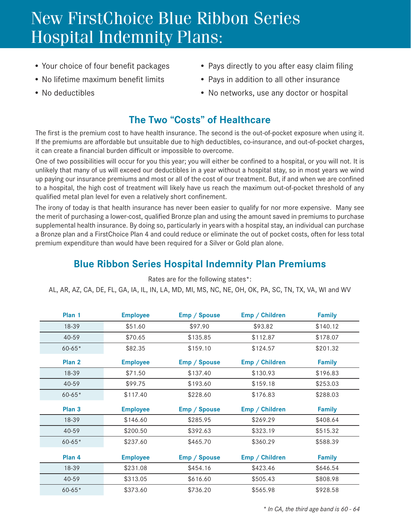# New FirstChoice Blue Ribbon Series Hospital Indemnity Plans:

- 
- 
- 
- Your choice of four benefit packages Pays directly to you after easy claim filing
- No lifetime maximum benefit limits Pays in addition to all other insurance
- No deductibles No networks, use any doctor or hospital

## **The Two "Costs" of Healthcare**

The first is the premium cost to have health insurance. The second is the out-of-pocket exposure when using it. If the premiums are affordable but unsuitable due to high deductibles, co-insurance, and out-of-pocket charges, it can create a financial burden difficult or impossible to overcome.

One of two possibilities will occur for you this year; you will either be confined to a hospital, or you will not. It is unlikely that many of us will exceed our deductibles in a year without a hospital stay, so in most years we wind up paying our insurance premiums and most or all of the cost of our treatment. But, if and when we are confined to a hospital, the high cost of treatment will likely have us reach the maximum out-of-pocket threshold of any qualified metal plan level for even a relatively short confinement.

The irony of today is that health insurance has never been easier to qualify for nor more expensive. Many see the merit of purchasing a lower-cost, qualified Bronze plan and using the amount saved in premiums to purchase supplemental health insurance. By doing so, particularly in years with a hospital stay, an individual can purchase a Bronze plan and a FirstChoice Plan 4 and could reduce or eliminate the out of pocket costs, often for less total premium expenditure than would have been required for a Silver or Gold plan alone.

## **Blue Ribbon Series Hospital Indemnity Plan Premiums**

| Plan 1            | <b>Employee</b> | Emp / Spouse | Emp / Children | <b>Family</b> |
|-------------------|-----------------|--------------|----------------|---------------|
| 18-39             | \$51.60         | \$97.90      | \$93.82        | \$140.12      |
| $40 - 59$         | \$70.65         | \$135.85     | \$112.87       | \$178.07      |
| $60 - 65*$        | \$82.35         | \$159.10     | \$124.57       | \$201.32      |
| Plan <sub>2</sub> | <b>Employee</b> | Emp / Spouse | Emp / Children | <b>Family</b> |
| 18-39             | \$71.50         | \$137.40     | \$130.93       | \$196.83      |
| $40 - 59$         | \$99.75         | \$193.60     | \$159.18       | \$253.03      |
| $60 - 65*$        | \$117.40        | \$228.60     | \$176.83       | \$288.03      |
| Plan <sub>3</sub> | <b>Employee</b> | Emp / Spouse | Emp / Children | <b>Family</b> |
| $18 - 39$         | \$146.60        | \$285.95     | \$269.29       | \$408.64      |
| $40 - 59$         | \$200.50        | \$392.63     | \$323.19       | \$515.32      |
| $60 - 65*$        | \$237.60        | \$465.70     | \$360.29       | \$588.39      |
| Plan <sub>4</sub> | <b>Employee</b> | Emp / Spouse | Emp / Children | <b>Family</b> |
| 18-39             | \$231.08        | \$454.16     | \$423.46       | \$646.54      |
| $40 - 59$         | \$313.05        | \$616.60     | \$505.43       | \$808.98      |
| $60 - 65*$        | \$373.60        | \$736.20     | \$565.98       | \$928.58      |

Rates are for the following states\*:

AL, AR, AZ, CA, DE, FL, GA, IA, IL, IN, LA, MD, MI, MS, NC, NE, OH, OK, PA, SC, TN, TX, VA, WI and WV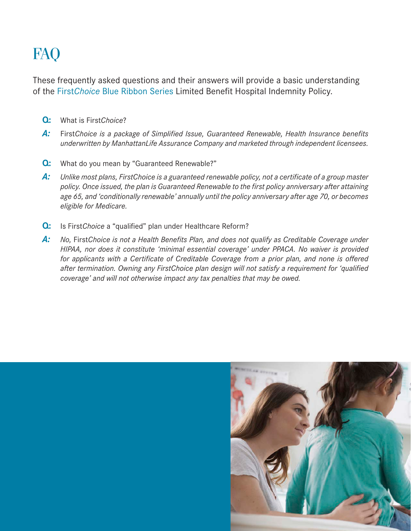# FA<sub>O</sub>

These frequently asked questions and their answers will provide a basic understanding of the First*Choice* Blue Ribbon Series Limited Benefit Hospital Indemnity Policy.

- **Q:** What is First*Choice*?
- *A:* First*Choice is a package of Simplified Issue, Guaranteed Renewable, Health Insurance benefits underwritten by ManhattanLife Assurance Company and marketed through independent licensees.*
- **Q:** What do you mean by "Guaranteed Renewable?"
- *A: Unlike most plans, FirstChoice is a guaranteed renewable policy, not a certificate of a group master policy. Once issued, the plan is Guaranteed Renewable to the first policy anniversary after attaining age 65, and 'conditionally renewable' annually until the policy anniversary after age 70, or becomes eligible for Medicare.*
- **Q:** Is First*Choice* a "qualified" plan under Healthcare Reform?
- A: No, First Choice is not a Health Benefits Plan, and does not qualify as Creditable Coverage under *HIPAA, nor does it constitute 'minimal essential coverage' under PPACA. No waiver is provided for applicants with a Certificate of Creditable Coverage from a prior plan, and none is offered after termination. Owning any FirstChoice plan design will not satisfy a requirement for 'qualified coverage' and will not otherwise impact any tax penalties that may be owed.*

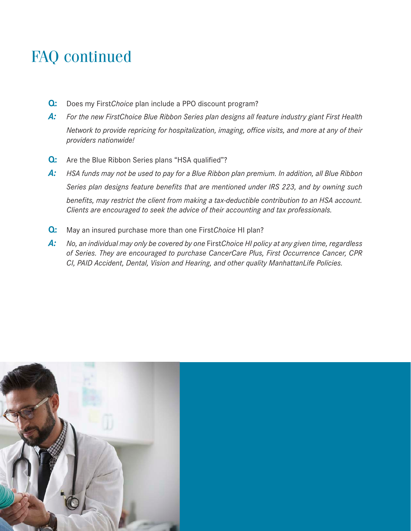# FAQ continued

- **Q:** Does my First*Choice* plan include a PPO discount program?
- *A: For the new FirstChoice Blue Ribbon Series plan designs all feature industry giant First Health Network to provide repricing for hospitalization, imaging, office visits, and more at any of their providers nationwide!*
- **Q:** Are the Blue Ribbon Series plans "HSA qualified"?
- *A: HSA funds may not be used to pay for a Blue Ribbon plan premium. In addition, all Blue Ribbon Series plan designs feature benefits that are mentioned under IRS 223, and by owning such benefits, may restrict the client from making a tax-deductible contribution to an HSA account. Clients are encouraged to seek the advice of their accounting and tax professionals.*
- **Q:** May an insured purchase more than one First*Choice* HI plan?
- *A: No, an individual may only be covered by one* First*Choice HI policy at any given time, regardless of Series. They are encouraged to purchase CancerCare Plus, First Occurrence Cancer, CPR CI, PAID Accident, Dental, Vision and Hearing, and other quality ManhattanLife Policies.*

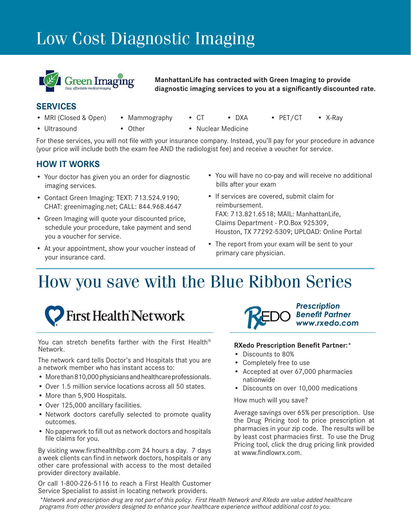# Low Cost Diagnostic Imaging



**ManhattanLife has contracted with Green Imaging to provide diagnostic imaging services to you at a significantly discounted rate.**

### **SERVICES**

- MRI (Closed & Open) Mammography CT DXA PET/CT X-Ray
- Ultrasound Other • Nuclear Medicine
- 
- 
- For these services, you will not file with your insurance company. Instead, you'll pay for your procedure in advance (your price will include both the exam fee AND the radiologist fee) and receive a voucher for service.

### **HOW IT WORKS**

- Your doctor has given you an order for diagnostic imaging services.
- Contact Green Imaging: TEXT: 713.524.9190; CHAT: greenimaging.net; CALL: 844.968.4647
- Green Imaging will quote your discounted price, schedule your procedure, take payment and send you a voucher for service.
- At your appointment, show your voucher instead of your insurance card.
- You will have no co-pay and will receive no additional bills after your exam
- If services are covered, submit claim for reimbursement. FAX: 713.821.6518; MAIL: ManhattanLife, Claims Department - P.O.Box 925309, Houston, TX 77292-5309; UPLOAD: Online Portal
- The report from your exam will be sent to your primary care physician.

# How you save with the Blue Ribbon Series



You can stretch benefits farther with the First Health® Network.

The network card tells Doctor's and Hospitals that you are a network member who has instant access to:

- More than 810,000 physicians and healthcare professionals.
- Over 1.5 million service locations across all 50 states.
- More than 5,900 Hospitals.
- Over 125,000 ancillary facilities.
- Network doctors carefully selected to promote quality outcomes.
- No paperwork to fill out as network doctors and hospitals file claims for you.

By visiting www.firsthealthlbp.com 24 hours a day. 7 days a week clients can find in network doctors, hospitals or any other care professional with access to the most detailed provider directory available.

Or call 1-800-226-5116 to reach a First Health Customer Service Specialist to assist in locating network providers.



#### **RXedo Prescription Benefit Partner:\***

- Discounts to 80%
- Completely free to use
- Accepted at over 67,000 pharmacies nationwide
- Discounts on over 10,000 medications

How much will you save?

Average savings over 65% per prescription. Use the Drug Pricing tool to price prescription at pharmacies in your zip code. The results will be by least cost pharmacies first. To use the Drug Pricing tool, click the drug pricing link provided at www.findlowrx.com.

*\*Network and prescription drug are not part of this policy. First Health Network and RXedo are value added healthcare programs from other providers designed to enhance your healthcare experience without additional cost to you.*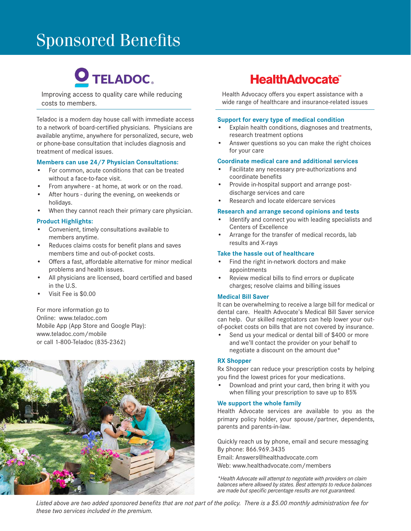# Sponsored Benefits

# O TELADOC.

Improving access to quality care while reducing costs to members.

Teladoc is a modern day house call with immediate access to a network of board-certified physicians. Physicians are available anytime, anywhere for personalized, secure, web or phone-base consultation that includes diagnosis and treatment of medical issues.

#### **Members can use 24/7 Physician Consultations:**

- For common, acute conditions that can be treated without a face-to-face visit.
- From anywhere at home, at work or on the road.
- After hours during the evening, on weekends or holidays.
- When they cannot reach their primary care physician.

#### **Product Highlights:**

- Convenient, timely consultations available to members anytime.
- Reduces claims costs for benefit plans and saves members time and out-of-pocket costs.
- Offers a fast, affordable alternative for minor medical problems and health issues.
- All physicians are licensed, board certified and based in the U.S.
- Visit Fee is \$0.00

For more information go to Online: www.teladoc.com Mobile App (App Store and Google Play): www.teladoc.com/mobile or call 1-800-Teladoc (835-2362)



## **HealthAdvocate®**

Health Advocacy offers you expert assistance with a wide range of healthcare and insurance-related issues

#### **Support for every type of medical condition**

- Explain health conditions, diagnoses and treatments, research treatment options
- Answer questions so you can make the right choices for your care

#### **Coordinate medical care and additional services**

- Facilitate any necessary pre-authorizations and coordinate benefits
- Provide in-hospital support and arrange postdischarge services and care
- Research and locate eldercare services

#### **Research and arrange second opinions and tests**

- Identify and connect you with leading specialists and Centers of Excellence
- Arrange for the transfer of medical records, lab results and X-rays

#### **Take the hassle out of healthcare**

- Find the right in-network doctors and make appointments
- Review medical bills to find errors or duplicate charges; resolve claims and billing issues

#### **Medical Bill Saver**

It can be overwhelming to receive a large bill for medical or dental care. Health Advocate's Medical Bill Saver service can help. Our skilled negotiators can help lower your outof-pocket costs on bills that are not covered by insurance.

Send us your medical or dental bill of \$400 or more and we'll contact the provider on your behalf to negotiate a discount on the amount due\*

#### **RX Shopper**

Rx Shopper can reduce your prescription costs by helping you find the lowest prices for your medications.

• Download and print your card, then bring it with you when filling your prescription to save up to 85%

#### **We support the whole family**

Health Advocate services are available to you as the primary policy holder, your spouse/partner, dependents, parents and parents-in-law.

Quickly reach us by phone, email and secure messaging By phone: 866.969.3435

Email: Answers@healthadvocate.com

Web: www.healthadvocate.com/members

*\*Health Advocate will attempt to negotiate with providers on claim balances where allowed by states. Best attempts to reduce balances are made but specific percentage results are not guaranteed.*

*Listed above are two added sponsored benefits that are not part of the policy. There is a \$5.00 monthly administration fee for these two services included in the premium.*